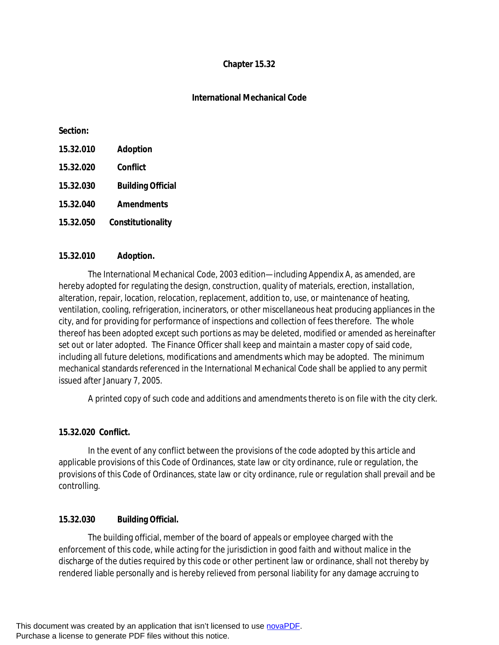### **Chapter 15.32**

### **International Mechanical Code**

#### **Section:**

- **15.32.010 Adoption**
- **15.32.020 Conflict**
- **15.32.030 Building Official**
- **15.32.040 Amendments**
- **15.32.050 Constitutionality**

### **15.32.010 Adoption.**

The International Mechanical Code, 2003 edition—including Appendix A, as amended, are hereby adopted for regulating the design, construction, quality of materials, erection, installation, alteration, repair, location, relocation, replacement, addition to, use, or maintenance of heating, ventilation, cooling, refrigeration, incinerators, or other miscellaneous heat producing appliances in the city, and for providing for performance of inspections and collection of fees therefore. The whole thereof has been adopted except such portions as may be deleted, modified or amended as hereinafter set out or later adopted. The Finance Officer shall keep and maintain a master copy of said code, including all future deletions, modifications and amendments which may be adopted. The minimum mechanical standards referenced in the International Mechanical Code shall be applied to any permit issued after January 7, 2005.

A printed copy of such code and additions and amendments thereto is on file with the city clerk.

## **15.32.020 Conflict.**

In the event of any conflict between the provisions of the code adopted by this article and applicable provisions of this Code of Ordinances, state law or city ordinance, rule or regulation, the provisions of this Code of Ordinances, state law or city ordinance, rule or regulation shall prevail and be controlling.

## **15.32.030 Building Official.**

The building official, member of the board of appeals or employee charged with the enforcement of this code, while acting for the jurisdiction in good faith and without malice in the discharge of the duties required by this code or other pertinent law or ordinance, shall not thereby by rendered liable personally and is hereby relieved from personal liability for any damage accruing to